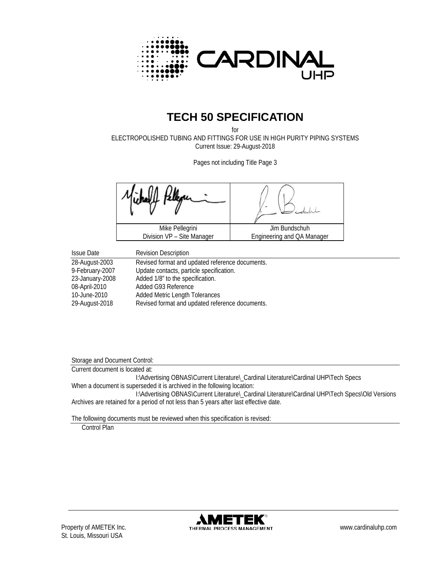

# **TECH 50 SPECIFICATION**

for ELECTROPOLISHED TUBING AND FITTINGS FOR USE IN HIGH PURITY PIPING SYSTEMS Current Issue: 29-August-2018

Pages not including Title Page 3

Mike Pellegrini Division VP – Site Manager Jim Bundschuh Engineering and QA Manager

| <b>Issue Date</b> | <b>Revision Description</b>                     |
|-------------------|-------------------------------------------------|
| 28-August-2003    | Revised format and updated reference documents. |
| 9-February-2007   | Update contacts, particle specification.        |
| 23-January-2008   | Added 1/8" to the specification.                |
| 08-April-2010     | Added G93 Reference                             |
| 10-June-2010      | <b>Added Metric Length Tolerances</b>           |
| 29-August-2018    | Revised format and updated reference documents. |

Storage and Document Control:

Current document is located at:

I:\Advertising OBNAS\Current Literature\\_Cardinal Literature\Cardinal UHP\Tech Specs When a document is superseded it is archived in the following location:

I:\Advertising OBNAS\Current Literature\\_Cardinal Literature\Cardinal UHP\Tech Specs\Old Versions Archives are retained for a period of not less than 5 years after last effective date.

The following documents must be reviewed when this specification is revised:

Control Plan

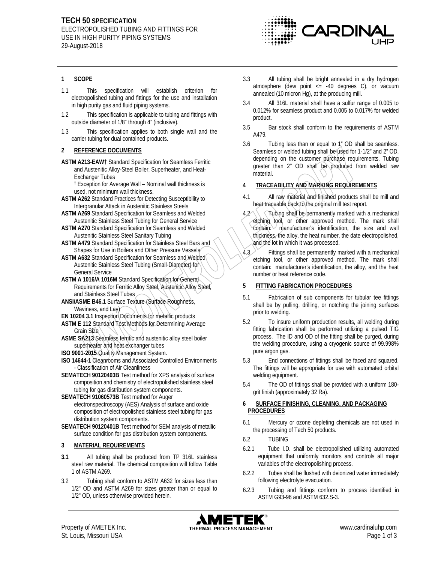

#### **1 SCOPE**

- 1.1 This specification will establish criterion for electropolished tubing and fittings for the use and installation in high purity gas and fluid piping systems.
- 1.2 This specification is applicable to tubing and fittings with outside diameter of 1/8" through 4" (inclusive).
- 1.3 This specification applies to both single wall and the carrier tubing for dual contained products.

#### **2 REFERENCE DOCUMENTS**

**ASTM A213-EAW**† Standard Specification for Seamless Ferritic and Austenitic Alloy-Steel Boiler, Superheater, and Heat-Exchanger Tubes

† Exception for Average Wall – Nominal wall thickness is used, not minimum wall thickness.

- **ASTM A262** Standard Practices for Detecting Susceptibility to Intergranular Attack in Austenitic Stainless Steels
- **ASTM A269** Standard Specification for Seamless and Welded Austenitic Stainless Steel Tubing for General Service
- **ASTM A270** Standard Specification for Seamless and Welded Austenitic Stainless Steel Sanitary Tubing
- **ASTM A479** Standard Specification for Stainless Steel Bars and Shapes for Use in Boilers and Other Pressure Vessels

**ASTM A632** Standard Specification for Seamless and Welded Austenitic Stainless Steel Tubing (Small-Diameter) for General Service

- **ASTM A 1016/A 1016M** Standard Specification for General Requirements for Ferritic Alloy Steel, Austenitic Alloy Steel, and Stainless Steel Tubes
- **ANSI/ASME B46.1** Surface Texture (Surface Roughness, Waviness, and Lay)
- **EN 10204 3.1 Inspection Documents for metallic products**
- **ASTM E 112** Standard Test Methods for Determining Average Grain Size
- **ASME SA213** Seamless ferritic and austenitic alloy steel boiler superheater and heat exchanger tubes
- **ISO 9001-2015** Quality Management System.
- **ISO 14644-1 Cleanrooms and Associated Controlled Environments** - Classification of Air Cleanliness
- **SEMATECH 90120403B** Test method for XPS analysis of surface composition and chemistry of electropolished stainless steel tubing for gas distribution system components.

**SEMATECH 91060573B** Test method for Auger electronspectroscopy (AES) Analysis of surface and oxide composition of electropolished stainless steel tubing for gas distribution system components.

**SEMATECH 90120401B** Test method for SEM analysis of metallic surface condition for gas distribution system components.

## **3 MATERIAL REQUIREMENTS**

- **3.1** All tubing shall be produced from TP 316L stainless steel raw material. The chemical composition will follow Table 1 of ASTM A269.
- 3.2 Tubing shall conform to ASTM A632 for sizes less than 1/2" OD and ASTM A269 for sizes greater than or equal to 1/2" OD, unless otherwise provided herein.
- 3.3 All tubing shall be bright annealed in a dry hydrogen atmosphere (dew point  $\leq$  -40 degrees C), or vacuum annealed (10 micron Hg), at the producing mill.
- 3.4 All 316L material shall have a sulfur range of 0.005 to 0.012% for seamless product and 0.005 to 0.017% for welded product.
- 3.5 Bar stock shall conform to the requirements of ASTM A479.
- 3.6 Tubing less than or equal to 1" OD shall be seamless. Seamless or welded tubing shall be used for 1-1/2" and 2" OD, depending on the customer purchase requirements. Tubing greater than 2" OD shall be produced from welded raw material.

## **4 TRACEABILITY AND MARKING REQUIREMENTS**

- 4.1 All raw material and finished products shall be mill and heat traceable back to the original mill test report.
- $4.2 \times 7$  Tubing shall be permanently marked with a mechanical etching tool, or other approved method. The mark shall  $\text{contain:} \cup$  manufacturer's identification, the size and wall thickness, the alloy, the heat number, the date electropolished, and the lot in which it was processed.
- 4.3 Fittings shall be permanently marked with a mechanical etching tool, or other approved method. The mark shall contain: manufacturer's identification, the alloy, and the heat number or heat reference code.

## **5 FITTING FABRICATION PROCEDURES**

- 5.1 Fabrication of sub components for tubular tee fittings shall be by pulling, drilling, or notching the joining surfaces prior to welding.
- 5.2 To insure uniform production results, all welding during fitting fabrication shall be performed utilizing a pulsed TIG process. The ID and OD of the fitting shall be purged, during the welding procedure, using a cryogenic source of 99.998% pure argon gas.
- 5.3 End connections of fittings shall be faced and squared. The fittings will be appropriate for use with automated orbital welding equipment.
- 5.4 The OD of fittings shall be provided with a uniform 180 grit finish (approximately 32 Ra).

#### **6 SURFACE FINISHING, CLEANING, AND PACKAGING PROCEDURES**

- 6.1 Mercury or ozone depleting chemicals are not used in the processing of Tech 50 products.
- 6.2 TUBING
- 6.2.1 Tube I.D. shall be electropolished utilizing automated equipment that uniformly monitors and controls all major variables of the electropolishing process.
- 6.2.2 Tubes shall be flushed with deionized water immediately following electrolyte evacuation.
- 6.2.3 Tubing and fittings conform to process identified in ASTM G93-96 and ASTM 632.S-3.

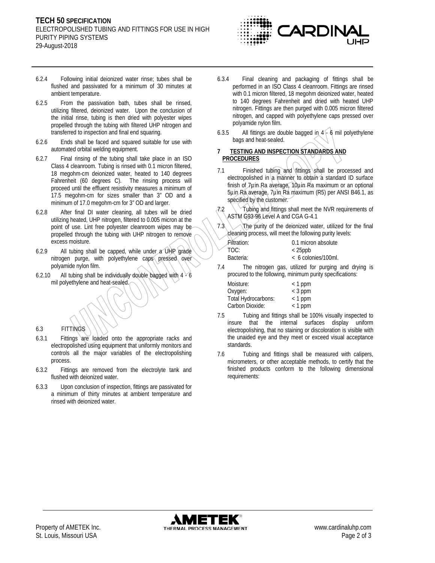

- 6.2.4 Following initial deionized water rinse; tubes shall be flushed and passivated for a minimum of 30 minutes at ambient temperature.
- 6.2.5 From the passivation bath, tubes shall be rinsed, utilizing filtered, deionized water. Upon the conclusion of the initial rinse, tubing is then dried with polyester wipes propelled through the tubing with filtered UHP nitrogen and transferred to inspection and final end squaring.
- 6.2.6 Ends shall be faced and squared suitable for use with automated orbital welding equipment.
- 6.2.7 Final rinsing of the tubing shall take place in an ISO Class 4 cleanroom. Tubing is rinsed with 0.1 micron filtered, 18 megohm-cm deionized water, heated to 140 degrees Fahrenheit (60 degrees C). The rinsing process will proceed until the effluent resistivity measures a minimum of 17.5 megohm-cm for sizes smaller than 3" OD and a minimum of 17.0 megohm-cm for 3" OD and larger.
- 6.2.8 After final DI water cleaning, all tubes will be dried utilizing heated, UHP nitrogen, filtered to 0.005 micron at the point of use. Lint free polyester cleanroom wipes may be propelled through the tubing with UHP nitrogen to remove excess moisture.
- 6.2.9 All tubing shall be capped, while under a UHP grade nitrogen purge, with polyethylene caps pressed over polyamide nylon film.
- 6.2.10 All tubing shall be individually double bagged with  $4 \times 6$ mil polyethylene and heat-sealed.

# 6.3 FITTINGS

- 6.3.1 Fittings are loaded onto the appropriate racks and electropolished using equipment that uniformly monitors and controls all the major variables of the electropolishing process.
- 6.3.2 Fittings are removed from the electrolyte tank and flushed with deionized water.
- 6.3.3 Upon conclusion of inspection, fittings are passivated for a minimum of thirty minutes at ambient temperature and rinsed with deionized water.
- 6.3.4 Final cleaning and packaging of fittings shall be performed in an ISO Class 4 cleanroom. Fittings are rinsed with 0.1 micron filtered, 18 megohm deionized water, heated to 140 degrees Fahrenheit and dried with heated UHP nitrogen. Fittings are then purged with 0.005 micron filtered nitrogen, and capped with polyethylene caps pressed over polyamide nylon film.
- 6.3.5 All fittings are double bagged in  $4 \div 6$  mil polyethylene bags and heat-sealed.
- **7 TESTING AND INSPECTION STANDARDS AND PROCEDURES**
- 7.1 Finished tubing and fittings shall be processed and electropolished in a manner to obtain a standard ID surface finish of 7 prin Ra average, 10 prin Ra maximum or an optional 5µin Ra average, 7µin Ra maximum (R5) per ANSI B46.1, as specified by the customer.
- $7.2$  Tubing and fittings shall meet the NVR requirements of ASTM G93-96 Level A and CGA G-4.1
- 7.3 The purity of the deionized water, utilized for the final cleaning process, will meet the following purity levels:

| Filtration: | 0.1 micron absolute   |
|-------------|-----------------------|
| TOC:        | $<$ 25ppb             |
| Bacteria:   | $< 6$ colonies/100ml. |

7.4 The nitrogen gas, utilized for purging and drying is procured to the following, minimum purity specifications:

| Moisture:           | $<$ 1 ppm |
|---------------------|-----------|
| Oxygen:             | $<$ 3 ppm |
| Total Hydrocarbons: | $<$ 1 ppm |
| Carbon Dioxide:     | $<$ 1 ppm |

- 7.5 Tubing and fittings shall be 100% visually inspected to insure that the internal surfaces display uniform electropolishing, that no staining or discoloration is visible with the unaided eye and they meet or exceed visual acceptance standards.
- 7.6 Tubing and fittings shall be measured with calipers, micrometers, or other acceptable methods, to certify that the finished products conform to the following dimensional requirements: